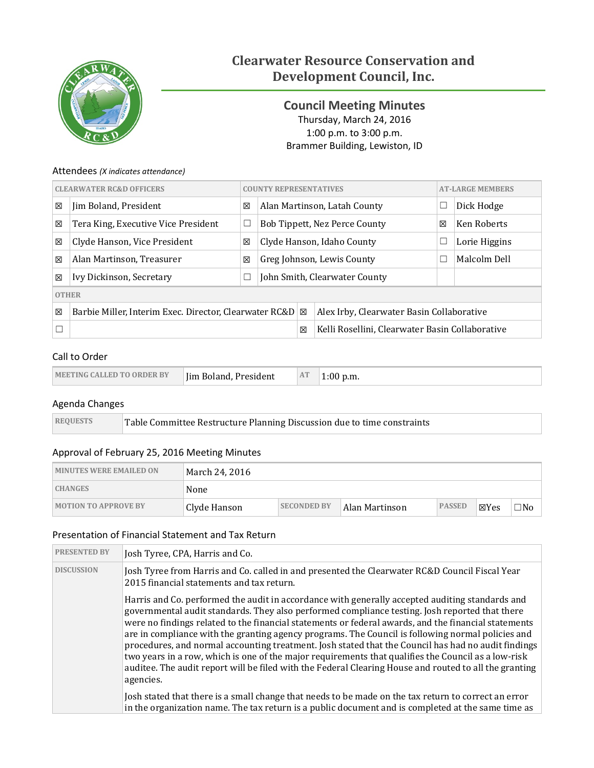

# **Clearwater Resource Conservation and Development Council, Inc.**

# <span id="page-0-0"></span>**Council Meeting Minutes** Thursday, March 24, 2016 1:00 p.m. to 3:00 p.m. Brammer Building, Lewiston, ID

### Attendees *(X indicates attendance)*

| <b>CLEARWATER RC&amp;D OFFICERS</b> |                                                            | <b>COUNTY REPRESENTATIVES</b> |                            |                                           | <b>AT-LARGE MEMBERS</b>                         |  |               |
|-------------------------------------|------------------------------------------------------------|-------------------------------|----------------------------|-------------------------------------------|-------------------------------------------------|--|---------------|
| 区                                   | Jim Boland, President                                      | 区                             |                            | Alan Martinson, Latah County              |                                                 |  | Dick Hodge    |
| 区                                   | Tera King, Executive Vice President                        | ⊔                             |                            | 区<br><b>Bob Tippett, Nez Perce County</b> |                                                 |  | Ken Roberts   |
| 区                                   | Clyde Hanson, Vice President                               | 区                             | Clyde Hanson, Idaho County |                                           |                                                 |  | Lorie Higgins |
| ⊠                                   | Alan Martinson, Treasurer                                  | 図                             |                            | Greg Johnson, Lewis County                |                                                 |  | Malcolm Dell  |
| 区                                   | Ivy Dickinson, Secretary                                   | └                             |                            | John Smith, Clearwater County             |                                                 |  |               |
| <b>OTHER</b>                        |                                                            |                               |                            |                                           |                                                 |  |               |
| ⊠                                   | Barbie Miller, Interim Exec. Director, Clearwater RC&D   ⊠ |                               |                            |                                           | Alex Irby, Clearwater Basin Collaborative       |  |               |
|                                     |                                                            |                               |                            |                                           | Kelli Rosellini, Clearwater Basin Collaborative |  |               |

### Call to Order

| Jim Boland, President<br><b>IMEETING CALLED TO ORDER BY</b> | AT<br>p.m. |
|-------------------------------------------------------------|------------|
|-------------------------------------------------------------|------------|

### Agenda Changes

| <b>REQUESTS</b> | Table Committee Restructure Planning Discussion due to time constraints |
|-----------------|-------------------------------------------------------------------------|
|-----------------|-------------------------------------------------------------------------|

### Approval of February 25, 2016 Meeting Minutes

| <b>MINUTES WERE EMAILED ON</b> | March 24, 2016 |                    |                |               |       |     |  |
|--------------------------------|----------------|--------------------|----------------|---------------|-------|-----|--|
| <b>CHANGES</b>                 | None           |                    |                |               |       |     |  |
| <b>MOTION TO APPROVE BY</b>    | Clyde Hanson   | <b>SECONDED BY</b> | Alan Martinson | <b>PASSED</b> | ∣⊠Yes | ⊐No |  |

### Presentation of Financial Statement and Tax Return

| <b>PRESENTED BY</b> | Josh Tyree, CPA, Harris and Co.                                                                                                                                                                                                                                                                                                                                                                                                                                                                                                                                                                                                                                                                                                                     |
|---------------------|-----------------------------------------------------------------------------------------------------------------------------------------------------------------------------------------------------------------------------------------------------------------------------------------------------------------------------------------------------------------------------------------------------------------------------------------------------------------------------------------------------------------------------------------------------------------------------------------------------------------------------------------------------------------------------------------------------------------------------------------------------|
| <b>DISCUSSION</b>   | Josh Tyree from Harris and Co. called in and presented the Clearwater RC&D Council Fiscal Year<br>2015 financial statements and tax return.                                                                                                                                                                                                                                                                                                                                                                                                                                                                                                                                                                                                         |
|                     | Harris and Co. performed the audit in accordance with generally accepted auditing standards and<br>governmental audit standards. They also performed compliance testing. Josh reported that there<br>were no findings related to the financial statements or federal awards, and the financial statements<br>are in compliance with the granting agency programs. The Council is following normal policies and<br>procedures, and normal accounting treatment. Josh stated that the Council has had no audit findings<br>two years in a row, which is one of the major requirements that qualifies the Council as a low-risk<br>auditee. The audit report will be filed with the Federal Clearing House and routed to all the granting<br>agencies. |
|                     | Josh stated that there is a small change that needs to be made on the tax return to correct an error<br>in the organization name. The tax return is a public document and is completed at the same time as                                                                                                                                                                                                                                                                                                                                                                                                                                                                                                                                          |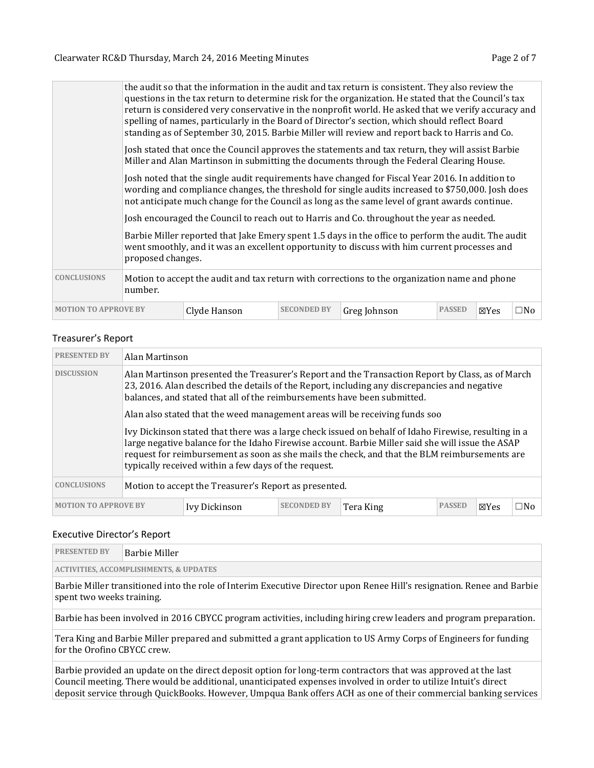|                             | the audit so that the information in the audit and tax return is consistent. They also review the<br>questions in the tax return to determine risk for the organization. He stated that the Council's tax<br>return is considered very conservative in the nonprofit world. He asked that we verify accuracy and<br>spelling of names, particularly in the Board of Director's section, which should reflect Board<br>standing as of September 30, 2015. Barbie Miller will review and report back to Harris and Co. |                                                                                                                                                                                                |                    |                                                                                           |               |                 |              |  |  |  |
|-----------------------------|----------------------------------------------------------------------------------------------------------------------------------------------------------------------------------------------------------------------------------------------------------------------------------------------------------------------------------------------------------------------------------------------------------------------------------------------------------------------------------------------------------------------|------------------------------------------------------------------------------------------------------------------------------------------------------------------------------------------------|--------------------|-------------------------------------------------------------------------------------------|---------------|-----------------|--------------|--|--|--|
|                             |                                                                                                                                                                                                                                                                                                                                                                                                                                                                                                                      | Josh stated that once the Council approves the statements and tax return, they will assist Barbie<br>Miller and Alan Martinson in submitting the documents through the Federal Clearing House. |                    |                                                                                           |               |                 |              |  |  |  |
|                             | Josh noted that the single audit requirements have changed for Fiscal Year 2016. In addition to<br>wording and compliance changes, the threshold for single audits increased to \$750,000. Josh does<br>not anticipate much change for the Council as long as the same level of grant awards continue.                                                                                                                                                                                                               |                                                                                                                                                                                                |                    |                                                                                           |               |                 |              |  |  |  |
|                             |                                                                                                                                                                                                                                                                                                                                                                                                                                                                                                                      |                                                                                                                                                                                                |                    | Josh encouraged the Council to reach out to Harris and Co. throughout the year as needed. |               |                 |              |  |  |  |
|                             | Barbie Miller reported that Jake Emery spent 1.5 days in the office to perform the audit. The audit<br>went smoothly, and it was an excellent opportunity to discuss with him current processes and<br>proposed changes.                                                                                                                                                                                                                                                                                             |                                                                                                                                                                                                |                    |                                                                                           |               |                 |              |  |  |  |
| <b>CONCLUSIONS</b>          | Motion to accept the audit and tax return with corrections to the organization name and phone<br>number.                                                                                                                                                                                                                                                                                                                                                                                                             |                                                                                                                                                                                                |                    |                                                                                           |               |                 |              |  |  |  |
| <b>MOTION TO APPROVE BY</b> |                                                                                                                                                                                                                                                                                                                                                                                                                                                                                                                      | Clyde Hanson                                                                                                                                                                                   | <b>SECONDED BY</b> | Greg Johnson                                                                              | <b>PASSED</b> | $\boxtimes$ Yes | $\square$ No |  |  |  |

### Treasurer's Report

| <b>PRESENTED BY</b>         | Alan Martinson                                                                                                                                                                                                                                                                                                                                                     |               |                    |           |               |                 |     |  |  |
|-----------------------------|--------------------------------------------------------------------------------------------------------------------------------------------------------------------------------------------------------------------------------------------------------------------------------------------------------------------------------------------------------------------|---------------|--------------------|-----------|---------------|-----------------|-----|--|--|
| <b>DISCUSSION</b>           | Alan Martinson presented the Treasurer's Report and the Transaction Report by Class, as of March<br>23, 2016. Alan described the details of the Report, including any discrepancies and negative<br>balances, and stated that all of the reimbursements have been submitted.<br>Alan also stated that the weed management areas will be receiving funds soo        |               |                    |           |               |                 |     |  |  |
|                             | Ivy Dickinson stated that there was a large check issued on behalf of Idaho Firewise, resulting in a<br>large negative balance for the Idaho Firewise account. Barbie Miller said she will issue the ASAP<br>request for reimbursement as soon as she mails the check, and that the BLM reimbursements are<br>typically received within a few days of the request. |               |                    |           |               |                 |     |  |  |
| <b>CONCLUSIONS</b>          | Motion to accept the Treasurer's Report as presented.                                                                                                                                                                                                                                                                                                              |               |                    |           |               |                 |     |  |  |
| <b>MOTION TO APPROVE BY</b> |                                                                                                                                                                                                                                                                                                                                                                    | Ivy Dickinson | <b>SECONDED BY</b> | Tera King | <b>PASSED</b> | $\boxtimes$ Yes | □No |  |  |

#### Executive Director's Report

| <b>PRESENTED BY</b>                               | Barbie Miller |  |  |  |
|---------------------------------------------------|---------------|--|--|--|
| <b>ACTIVITIES, ACCOMPLISHMENTS, &amp; UPDATES</b> |               |  |  |  |

Barbie Miller transitioned into the role of Interim Executive Director upon Renee Hill's resignation. Renee and Barbie spent two weeks training.

Barbie has been involved in 2016 CBYCC program activities, including hiring crew leaders and program preparation.

Tera King and Barbie Miller prepared and submitted a grant application to US Army Corps of Engineers for funding for the Orofino CBYCC crew.

Barbie provided an update on the direct deposit option for long-term contractors that was approved at the last Council meeting. There would be additional, unanticipated expenses involved in order to utilize Intuit's direct deposit service through QuickBooks. However, Umpqua Bank offers ACH as one of their commercial banking services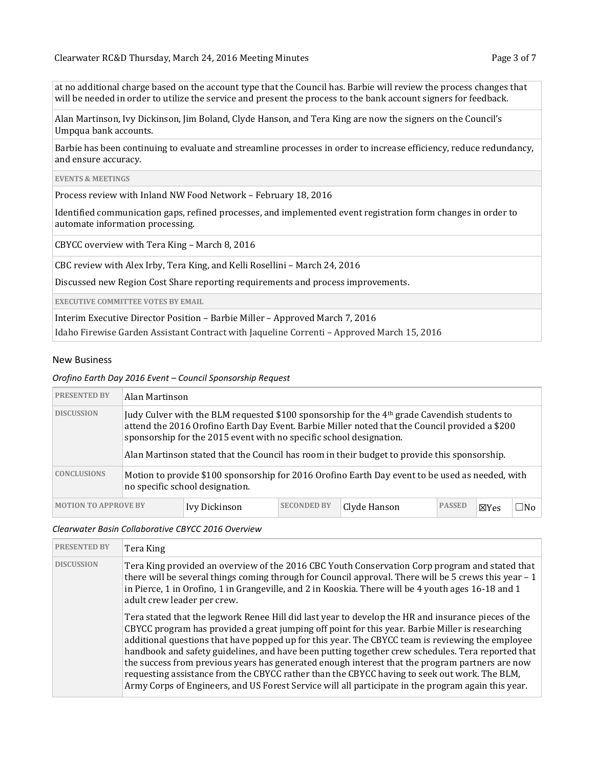at no additional charge based on the account type that the Council has. Barbie will review the process changes that will be needed in order to utilize the service and present the process to the bank account signers for feedback.

Alan Martinson, Ivy Dickinson, Jim Boland, Clyde Hanson, and Tera King are now the signers on the Council's Umpqua bank accounts.

Barbie has been continuing to evaluate and streamline processes in order to increase efficiency, reduce redundancy, and ensure accuracy.

#### **EVENTS & MEETINGS**

Process review with Inland NW Food Network – February 18, 2016

Identified communication gaps, refined processes, and implemented event registration form changes in order to automate information processing.

CBYCC overview with Tera King – March 8, 2016

CBC review with Alex Irby, Tera King, and Kelli Rosellini – March 24, 2016

Discussed new Region Cost Share reporting requirements and process improvements.

**EXECUTIVE COMMITTEE VOTES BY EMAIL**

Interim Executive Director Position – Barbie Miller – Approved March 7, 2016

Idaho Firewise Garden Assistant Contract with Jaqueline Correnti – Approved March 15, 2016

#### New Business

#### *Orofino Earth Day 2016 Event – Council Sponsorship Request*

| <b>PRESENTED BY</b>                                                                                                                                      | Alan Martinson                                                                                                                                                                                                                                                                                                                                                                    |               |                    |              |               |                 |      |  |
|----------------------------------------------------------------------------------------------------------------------------------------------------------|-----------------------------------------------------------------------------------------------------------------------------------------------------------------------------------------------------------------------------------------------------------------------------------------------------------------------------------------------------------------------------------|---------------|--------------------|--------------|---------------|-----------------|------|--|
| <b>DISCUSSION</b>                                                                                                                                        | Judy Culver with the BLM requested \$100 sponsorship for the 4 <sup>th</sup> grade Cavendish students to<br>attend the 2016 Orofino Earth Day Event. Barbie Miller noted that the Council provided a \$200<br>sponsorship for the 2015 event with no specific school designation.<br>Alan Martinson stated that the Council has room in their budget to provide this sponsorship. |               |                    |              |               |                 |      |  |
| <b>CONCLUSIONS</b><br>Motion to provide \$100 sponsorship for 2016 Orofino Earth Day event to be used as needed, with<br>no specific school designation. |                                                                                                                                                                                                                                                                                                                                                                                   |               |                    |              |               |                 |      |  |
| <b>MOTION TO APPROVE BY</b>                                                                                                                              |                                                                                                                                                                                                                                                                                                                                                                                   | Ivy Dickinson | <b>SECONDED BY</b> | Clyde Hanson | <b>PASSED</b> | $\boxtimes$ Yes | ∐No. |  |

#### *Clearwater Basin Collaborative CBYCC 2016 Overview*

| <b>PRESENTED BY</b> | Tera King                                                                                                                                                                                                                                                                                                                                                                                                                                                                                                                                                                                                                                                                                                                  |
|---------------------|----------------------------------------------------------------------------------------------------------------------------------------------------------------------------------------------------------------------------------------------------------------------------------------------------------------------------------------------------------------------------------------------------------------------------------------------------------------------------------------------------------------------------------------------------------------------------------------------------------------------------------------------------------------------------------------------------------------------------|
| <b>DISCUSSION</b>   | Tera King provided an overview of the 2016 CBC Youth Conservation Corp program and stated that<br>there will be several things coming through for Council approval. There will be 5 crews this year - 1<br>in Pierce, 1 in Orofino, 1 in Grangeville, and 2 in Kooskia. There will be 4 youth ages 16-18 and 1<br>adult crew leader per crew.                                                                                                                                                                                                                                                                                                                                                                              |
|                     | Tera stated that the legwork Renee Hill did last year to develop the HR and insurance pieces of the<br>CBYCC program has provided a great jumping off point for this year. Barbie Miller is researching<br>additional questions that have popped up for this year. The CBYCC team is reviewing the employee<br>handbook and safety guidelines, and have been putting together crew schedules. Tera reported that<br>the success from previous years has generated enough interest that the program partners are now<br>requesting assistance from the CBYCC rather than the CBYCC having to seek out work. The BLM,<br>Army Corps of Engineers, and US Forest Service will all participate in the program again this year. |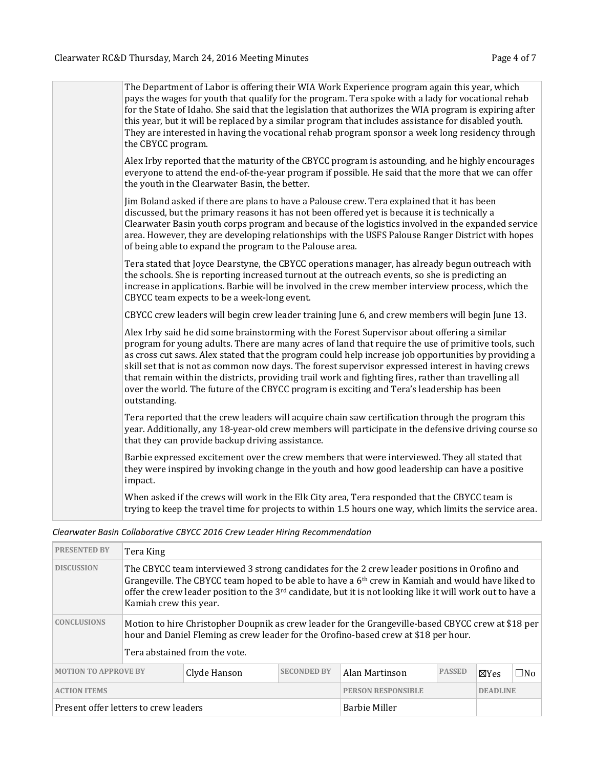| The Department of Labor is offering their WIA Work Experience program again this year, which<br>pays the wages for youth that qualify for the program. Tera spoke with a lady for vocational rehab<br>for the State of Idaho. She said that the legislation that authorizes the WIA program is expiring after                                                                                                                                                                                                                                                                                                                             |
|-------------------------------------------------------------------------------------------------------------------------------------------------------------------------------------------------------------------------------------------------------------------------------------------------------------------------------------------------------------------------------------------------------------------------------------------------------------------------------------------------------------------------------------------------------------------------------------------------------------------------------------------|
| this year, but it will be replaced by a similar program that includes assistance for disabled youth.<br>They are interested in having the vocational rehab program sponsor a week long residency through<br>the CBYCC program.                                                                                                                                                                                                                                                                                                                                                                                                            |
| Alex Irby reported that the maturity of the CBYCC program is astounding, and he highly encourages<br>everyone to attend the end-of-the-year program if possible. He said that the more that we can offer<br>the youth in the Clearwater Basin, the better.                                                                                                                                                                                                                                                                                                                                                                                |
| Jim Boland asked if there are plans to have a Palouse crew. Tera explained that it has been<br>discussed, but the primary reasons it has not been offered yet is because it is technically a<br>Clearwater Basin youth corps program and because of the logistics involved in the expanded service<br>area. However, they are developing relationships with the USFS Palouse Ranger District with hopes<br>of being able to expand the program to the Palouse area.                                                                                                                                                                       |
| Tera stated that Joyce Dearstyne, the CBYCC operations manager, has already begun outreach with<br>the schools. She is reporting increased turnout at the outreach events, so she is predicting an<br>increase in applications. Barbie will be involved in the crew member interview process, which the<br>CBYCC team expects to be a week-long event.                                                                                                                                                                                                                                                                                    |
| CBYCC crew leaders will begin crew leader training June 6, and crew members will begin June 13.                                                                                                                                                                                                                                                                                                                                                                                                                                                                                                                                           |
| Alex Irby said he did some brainstorming with the Forest Supervisor about offering a similar<br>program for young adults. There are many acres of land that require the use of primitive tools, such<br>as cross cut saws. Alex stated that the program could help increase job opportunities by providing a<br>skill set that is not as common now days. The forest supervisor expressed interest in having crews<br>that remain within the districts, providing trail work and fighting fires, rather than travelling all<br>over the world. The future of the CBYCC program is exciting and Tera's leadership has been<br>outstanding. |
| Tera reported that the crew leaders will acquire chain saw certification through the program this<br>year. Additionally, any 18-year-old crew members will participate in the defensive driving course so<br>that they can provide backup driving assistance.                                                                                                                                                                                                                                                                                                                                                                             |
| Barbie expressed excitement over the crew members that were interviewed. They all stated that<br>they were inspired by invoking change in the youth and how good leadership can have a positive<br>impact.                                                                                                                                                                                                                                                                                                                                                                                                                                |
| When asked if the crews will work in the Elk City area, Tera responded that the CBYCC team is<br>trying to keep the travel time for projects to within 1.5 hours one way, which limits the service area.                                                                                                                                                                                                                                                                                                                                                                                                                                  |

# *Clearwater Basin Collaborative CBYCC 2016 Crew Leader Hiring Recommendation*

| <b>PRESENTED BY</b>                                               | Tera King                                                                                                                                                                                                                                                                                                                                         |                               |  |                                                                                                                                                                                           |               |                 |           |  |
|-------------------------------------------------------------------|---------------------------------------------------------------------------------------------------------------------------------------------------------------------------------------------------------------------------------------------------------------------------------------------------------------------------------------------------|-------------------------------|--|-------------------------------------------------------------------------------------------------------------------------------------------------------------------------------------------|---------------|-----------------|-----------|--|
| <b>DISCUSSION</b>                                                 | The CBYCC team interviewed 3 strong candidates for the 2 crew leader positions in Orofino and<br>Grangeville. The CBYCC team hoped to be able to have a $6th$ crew in Kamiah and would have liked to<br>offer the crew leader position to the $3^{rd}$ candidate, but it is not looking like it will work out to have a<br>Kamiah crew this year. |                               |  |                                                                                                                                                                                           |               |                 |           |  |
| <b>CONCLUSIONS</b>                                                |                                                                                                                                                                                                                                                                                                                                                   |                               |  | Motion to hire Christopher Doupnik as crew leader for the Grangeville-based CBYCC crew at \$18 per<br>hour and Daniel Fleming as crew leader for the Orofino-based crew at \$18 per hour. |               |                 |           |  |
|                                                                   |                                                                                                                                                                                                                                                                                                                                                   | Tera abstained from the vote. |  |                                                                                                                                                                                           |               |                 |           |  |
| <b>MOTION TO APPROVE BY</b><br><b>SECONDED BY</b><br>Clyde Hanson |                                                                                                                                                                                                                                                                                                                                                   |                               |  | Alan Martinson                                                                                                                                                                            | <b>PASSED</b> | ⊠Yes            | $\Box$ No |  |
| <b>ACTION ITEMS</b>                                               |                                                                                                                                                                                                                                                                                                                                                   |                               |  | <b>PERSON RESPONSIBLE</b>                                                                                                                                                                 |               | <b>DEADLINE</b> |           |  |
| Present offer letters to crew leaders                             |                                                                                                                                                                                                                                                                                                                                                   |                               |  | <b>Barbie Miller</b>                                                                                                                                                                      |               |                 |           |  |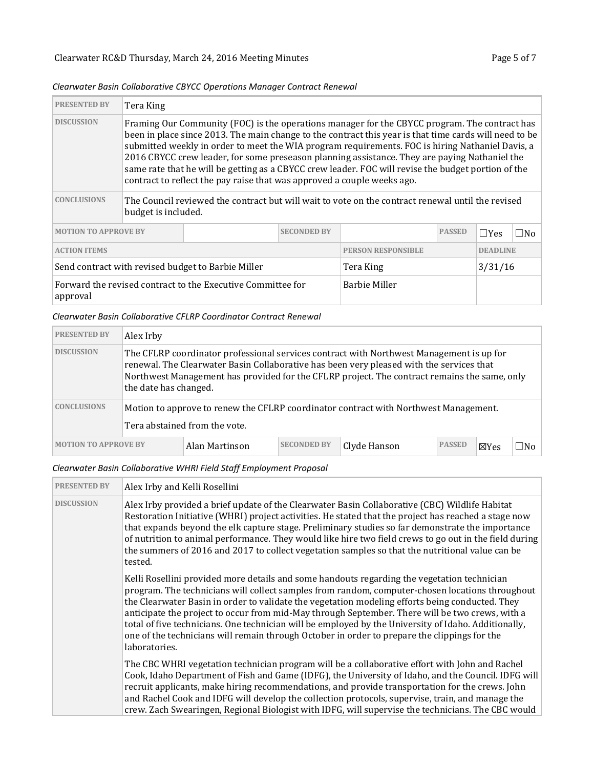| <b>PRESENTED BY</b>                                                     | Tera King                                                                                                                                                                                                                                                                                                                                                                                                                                                                                                                                                                                      |                      |               |                           |           |                 |  |  |
|-------------------------------------------------------------------------|------------------------------------------------------------------------------------------------------------------------------------------------------------------------------------------------------------------------------------------------------------------------------------------------------------------------------------------------------------------------------------------------------------------------------------------------------------------------------------------------------------------------------------------------------------------------------------------------|----------------------|---------------|---------------------------|-----------|-----------------|--|--|
| <b>DISCUSSION</b>                                                       | Framing Our Community (FOC) is the operations manager for the CBYCC program. The contract has<br>been in place since 2013. The main change to the contract this year is that time cards will need to be<br>submitted weekly in order to meet the WIA program requirements. FOC is hiring Nathaniel Davis, a<br>2016 CBYCC crew leader, for some preseason planning assistance. They are paying Nathaniel the<br>same rate that he will be getting as a CBYCC crew leader. FOC will revise the budget portion of the<br>contract to reflect the pay raise that was approved a couple weeks ago. |                      |               |                           |           |                 |  |  |
| <b>CONCLUSIONS</b>                                                      | The Council reviewed the contract but will wait to vote on the contract renewal until the revised<br>budget is included.                                                                                                                                                                                                                                                                                                                                                                                                                                                                       |                      |               |                           |           |                 |  |  |
| <b>MOTION TO APPROVE BY</b>                                             |                                                                                                                                                                                                                                                                                                                                                                                                                                                                                                                                                                                                |                      | <b>PASSED</b> | $\Box$ Yes                | $\Box$ No |                 |  |  |
| <b>ACTION ITEMS</b>                                                     |                                                                                                                                                                                                                                                                                                                                                                                                                                                                                                                                                                                                |                      |               | <b>PERSON RESPONSIBLE</b> |           | <b>DEADLINE</b> |  |  |
| Send contract with revised budget to Barbie Miller                      |                                                                                                                                                                                                                                                                                                                                                                                                                                                                                                                                                                                                |                      | Tera King     |                           | 3/31/16   |                 |  |  |
| Forward the revised contract to the Executive Committee for<br>approval |                                                                                                                                                                                                                                                                                                                                                                                                                                                                                                                                                                                                | <b>Barbie Miller</b> |               |                           |           |                 |  |  |

### *Clearwater Basin Collaborative CBYCC Operations Manager Contract Renewal*

## *Clearwater Basin Collaborative CFLRP Coordinator Contract Renewal*

| <b>PRESENTED BY</b>                                                                 | Alex Irby                                                                                                                                                                                                                                                                                                     |  |  |  |  |                 |     |  |  |  |
|-------------------------------------------------------------------------------------|---------------------------------------------------------------------------------------------------------------------------------------------------------------------------------------------------------------------------------------------------------------------------------------------------------------|--|--|--|--|-----------------|-----|--|--|--|
| <b>DISCUSSION</b>                                                                   | The CFLRP coordinator professional services contract with Northwest Management is up for<br>renewal. The Clearwater Basin Collaborative has been very pleased with the services that<br>Northwest Management has provided for the CFLRP project. The contract remains the same, only<br>the date has changed. |  |  |  |  |                 |     |  |  |  |
| <b>CONCLUSIONS</b>                                                                  | Motion to approve to renew the CFLRP coordinator contract with Northwest Management.<br>Tera abstained from the vote.                                                                                                                                                                                         |  |  |  |  |                 |     |  |  |  |
| <b>SECONDED BY</b><br><b>MOTION TO APPROVE BY</b><br>Alan Martinson<br>Clyde Hanson |                                                                                                                                                                                                                                                                                                               |  |  |  |  | $\boxtimes$ Yes | ⊟No |  |  |  |

### *Clearwater Basin Collaborative WHRI Field Staff Employment Proposal*

| <b>PRESENTED BY</b> | Alex Irby and Kelli Rosellini                                                                                                                                                                                                                                                                                                                                                                                                                                                                                                                                                                                                 |  |  |  |
|---------------------|-------------------------------------------------------------------------------------------------------------------------------------------------------------------------------------------------------------------------------------------------------------------------------------------------------------------------------------------------------------------------------------------------------------------------------------------------------------------------------------------------------------------------------------------------------------------------------------------------------------------------------|--|--|--|
| <b>DISCUSSION</b>   | Alex Irby provided a brief update of the Clearwater Basin Collaborative (CBC) Wildlife Habitat<br>Restoration Initiative (WHRI) project activities. He stated that the project has reached a stage now<br>that expands beyond the elk capture stage. Preliminary studies so far demonstrate the importance<br>of nutrition to animal performance. They would like hire two field crews to go out in the field during<br>the summers of 2016 and 2017 to collect vegetation samples so that the nutritional value can be<br>tested.                                                                                            |  |  |  |
|                     | Kelli Rosellini provided more details and some handouts regarding the vegetation technician<br>program. The technicians will collect samples from random, computer-chosen locations throughout<br>the Clearwater Basin in order to validate the vegetation modeling efforts being conducted. They<br>anticipate the project to occur from mid-May through September. There will be two crews, with a<br>total of five technicians. One technician will be employed by the University of Idaho. Additionally,<br>one of the technicians will remain through October in order to prepare the clippings for the<br>laboratories. |  |  |  |
|                     | The CBC WHRI vegetation technician program will be a collaborative effort with John and Rachel<br>Cook, Idaho Department of Fish and Game (IDFG), the University of Idaho, and the Council. IDFG will<br>recruit applicants, make hiring recommendations, and provide transportation for the crews. John<br>and Rachel Cook and IDFG will develop the collection protocols, supervise, train, and manage the<br>crew. Zach Swearingen, Regional Biologist with IDFG, will supervise the technicians. The CBC would                                                                                                            |  |  |  |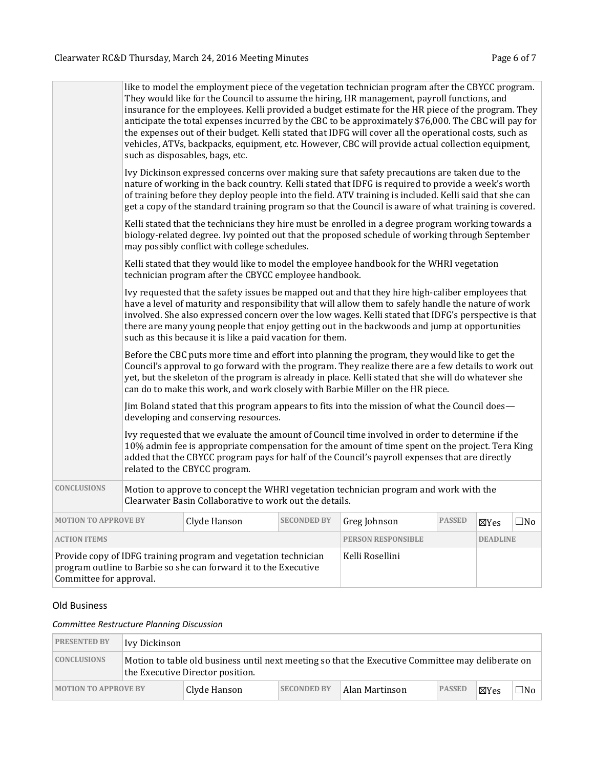| Committee for approval.     |                                                                                                                                                                                                                                                                                                                                                                                                                                                                                                                                                                                                                                                                                                                                                                                                                                                                                                                                                                                                                                                                                                                                                                                                                                                                                                                                                                         | Provide copy of IDFG training program and vegetation technician<br>program outline to Barbie so she can forward it to the Executive                                                                                                                                                                                                                                                                                       |                                                                                       | Kelli Rosellini                                                                                                                                                                                                                                                                                                                                                                                                                                                                                                                                                                                                               |               |                 |              |  |  |
|-----------------------------|-------------------------------------------------------------------------------------------------------------------------------------------------------------------------------------------------------------------------------------------------------------------------------------------------------------------------------------------------------------------------------------------------------------------------------------------------------------------------------------------------------------------------------------------------------------------------------------------------------------------------------------------------------------------------------------------------------------------------------------------------------------------------------------------------------------------------------------------------------------------------------------------------------------------------------------------------------------------------------------------------------------------------------------------------------------------------------------------------------------------------------------------------------------------------------------------------------------------------------------------------------------------------------------------------------------------------------------------------------------------------|---------------------------------------------------------------------------------------------------------------------------------------------------------------------------------------------------------------------------------------------------------------------------------------------------------------------------------------------------------------------------------------------------------------------------|---------------------------------------------------------------------------------------|-------------------------------------------------------------------------------------------------------------------------------------------------------------------------------------------------------------------------------------------------------------------------------------------------------------------------------------------------------------------------------------------------------------------------------------------------------------------------------------------------------------------------------------------------------------------------------------------------------------------------------|---------------|-----------------|--------------|--|--|
| <b>ACTION ITEMS</b>         |                                                                                                                                                                                                                                                                                                                                                                                                                                                                                                                                                                                                                                                                                                                                                                                                                                                                                                                                                                                                                                                                                                                                                                                                                                                                                                                                                                         |                                                                                                                                                                                                                                                                                                                                                                                                                           |                                                                                       | <b>PERSON RESPONSIBLE</b>                                                                                                                                                                                                                                                                                                                                                                                                                                                                                                                                                                                                     |               | <b>DEADLINE</b> |              |  |  |
| <b>MOTION TO APPROVE BY</b> |                                                                                                                                                                                                                                                                                                                                                                                                                                                                                                                                                                                                                                                                                                                                                                                                                                                                                                                                                                                                                                                                                                                                                                                                                                                                                                                                                                         | Clyde Hanson                                                                                                                                                                                                                                                                                                                                                                                                              | <b>SECONDED BY</b>                                                                    | Greg Johnson                                                                                                                                                                                                                                                                                                                                                                                                                                                                                                                                                                                                                  | <b>PASSED</b> | ⊠Yes            | $\square$ No |  |  |
| <b>CONCLUSIONS</b>          |                                                                                                                                                                                                                                                                                                                                                                                                                                                                                                                                                                                                                                                                                                                                                                                                                                                                                                                                                                                                                                                                                                                                                                                                                                                                                                                                                                         | Clearwater Basin Collaborative to work out the details.                                                                                                                                                                                                                                                                                                                                                                   | Motion to approve to concept the WHRI vegetation technician program and work with the |                                                                                                                                                                                                                                                                                                                                                                                                                                                                                                                                                                                                                               |               |                 |              |  |  |
|                             | Ivy requested that the safety issues be mapped out and that they hire high-caliber employees that<br>have a level of maturity and responsibility that will allow them to safely handle the nature of work<br>involved. She also expressed concern over the low wages. Kelli stated that IDFG's perspective is that<br>there are many young people that enjoy getting out in the backwoods and jump at opportunities<br>such as this because it is like a paid vacation for them.<br>Before the CBC puts more time and effort into planning the program, they would like to get the<br>Council's approval to go forward with the program. They realize there are a few details to work out<br>yet, but the skeleton of the program is already in place. Kelli stated that she will do whatever she<br>can do to make this work, and work closely with Barbie Miller on the HR piece.<br>Jim Boland stated that this program appears to fits into the mission of what the Council does—<br>developing and conserving resources.<br>Ivy requested that we evaluate the amount of Council time involved in order to determine if the<br>10% admin fee is appropriate compensation for the amount of time spent on the project. Tera King<br>added that the CBYCC program pays for half of the Council's payroll expenses that are directly<br>related to the CBYCC program. |                                                                                                                                                                                                                                                                                                                                                                                                                           |                                                                                       |                                                                                                                                                                                                                                                                                                                                                                                                                                                                                                                                                                                                                               |               |                 |              |  |  |
|                             |                                                                                                                                                                                                                                                                                                                                                                                                                                                                                                                                                                                                                                                                                                                                                                                                                                                                                                                                                                                                                                                                                                                                                                                                                                                                                                                                                                         |                                                                                                                                                                                                                                                                                                                                                                                                                           |                                                                                       |                                                                                                                                                                                                                                                                                                                                                                                                                                                                                                                                                                                                                               |               |                 |              |  |  |
|                             |                                                                                                                                                                                                                                                                                                                                                                                                                                                                                                                                                                                                                                                                                                                                                                                                                                                                                                                                                                                                                                                                                                                                                                                                                                                                                                                                                                         |                                                                                                                                                                                                                                                                                                                                                                                                                           |                                                                                       |                                                                                                                                                                                                                                                                                                                                                                                                                                                                                                                                                                                                                               |               |                 |              |  |  |
|                             |                                                                                                                                                                                                                                                                                                                                                                                                                                                                                                                                                                                                                                                                                                                                                                                                                                                                                                                                                                                                                                                                                                                                                                                                                                                                                                                                                                         | technician program after the CBYCC employee handbook.                                                                                                                                                                                                                                                                                                                                                                     |                                                                                       | Kelli stated that they would like to model the employee handbook for the WHRI vegetation                                                                                                                                                                                                                                                                                                                                                                                                                                                                                                                                      |               |                 |              |  |  |
|                             |                                                                                                                                                                                                                                                                                                                                                                                                                                                                                                                                                                                                                                                                                                                                                                                                                                                                                                                                                                                                                                                                                                                                                                                                                                                                                                                                                                         | may possibly conflict with college schedules.                                                                                                                                                                                                                                                                                                                                                                             |                                                                                       | Kelli stated that the technicians they hire must be enrolled in a degree program working towards a<br>biology-related degree. Ivy pointed out that the proposed schedule of working through September                                                                                                                                                                                                                                                                                                                                                                                                                         |               |                 |              |  |  |
|                             |                                                                                                                                                                                                                                                                                                                                                                                                                                                                                                                                                                                                                                                                                                                                                                                                                                                                                                                                                                                                                                                                                                                                                                                                                                                                                                                                                                         | Ivy Dickinson expressed concerns over making sure that safety precautions are taken due to the<br>nature of working in the back country. Kelli stated that IDFG is required to provide a week's worth<br>of training before they deploy people into the field. ATV training is included. Kelli said that she can<br>get a copy of the standard training program so that the Council is aware of what training is covered. |                                                                                       |                                                                                                                                                                                                                                                                                                                                                                                                                                                                                                                                                                                                                               |               |                 |              |  |  |
|                             |                                                                                                                                                                                                                                                                                                                                                                                                                                                                                                                                                                                                                                                                                                                                                                                                                                                                                                                                                                                                                                                                                                                                                                                                                                                                                                                                                                         | such as disposables, bags, etc.                                                                                                                                                                                                                                                                                                                                                                                           |                                                                                       | like to model the employment piece of the vegetation technician program after the CBYCC program.<br>They would like for the Council to assume the hiring, HR management, payroll functions, and<br>insurance for the employees. Kelli provided a budget estimate for the HR piece of the program. They<br>anticipate the total expenses incurred by the CBC to be approximately \$76,000. The CBC will pay for<br>the expenses out of their budget. Kelli stated that IDFG will cover all the operational costs, such as<br>vehicles, ATVs, backpacks, equipment, etc. However, CBC will provide actual collection equipment, |               |                 |              |  |  |

# Old Business

# *Committee Restructure Planning Discussion*

| <b>PRESENTED BY</b>         | Ivy Dickinson                                                                                                                         |              |                    |                |               |                 |       |  |  |
|-----------------------------|---------------------------------------------------------------------------------------------------------------------------------------|--------------|--------------------|----------------|---------------|-----------------|-------|--|--|
| <b>CONCLUSIONS</b>          | Motion to table old business until next meeting so that the Executive Committee may deliberate on<br>the Executive Director position. |              |                    |                |               |                 |       |  |  |
| <b>MOTION TO APPROVE BY</b> |                                                                                                                                       | Clyde Hanson | <b>SECONDED BY</b> | Alan Martinson | <b>PASSED</b> | $\boxtimes$ Yes | ∃No l |  |  |